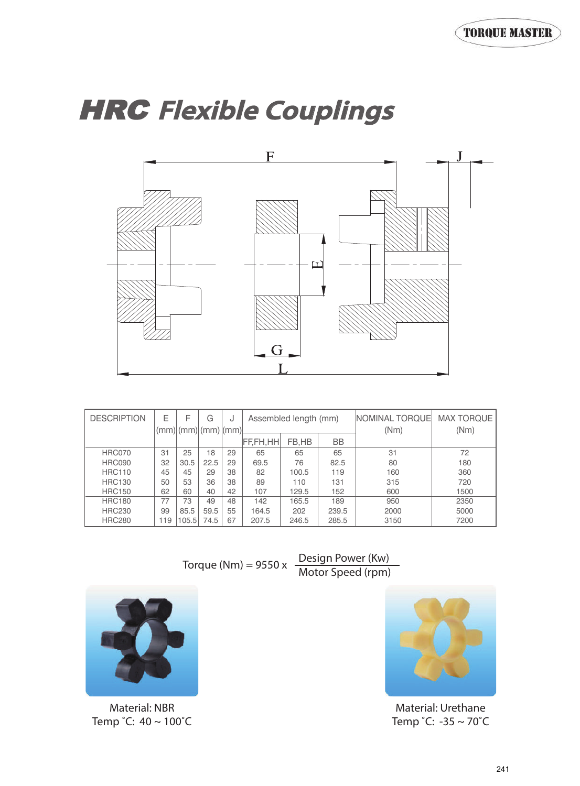## HRC **Flexible Couplings**



| <b>DESCRIPTION</b> | Ε   |       | G<br>$(mm)$ (mm) (mm) (mm) | J  | Assembled length (mm) |       |           | <b>NOMINAL TORQUEI</b><br>(Nm) | <b>MAX TORQUE</b><br>(Nm) |
|--------------------|-----|-------|----------------------------|----|-----------------------|-------|-----------|--------------------------------|---------------------------|
|                    |     |       |                            |    | FF.FH.HHI             | FB.HB | <b>BB</b> |                                |                           |
| HRC070             | 31  | 25    | 18                         | 29 | 65                    | 65    | 65        | 31                             | 72                        |
| <b>HRC090</b>      | 32  | 30.5  | 22.5                       | 29 | 69.5                  | 76    | 82.5      | 80                             | 180                       |
| <b>HRC110</b>      | 45  | 45    | 29                         | 38 | 82                    | 100.5 | 119       | 160                            | 360                       |
| <b>HRC130</b>      | 50  | 53    | 36                         | 38 | 89                    | 110   | 131       | 315                            | 720                       |
| <b>HRC150</b>      | 62  | 60    | 40                         | 42 | 107                   | 129.5 | 152       | 600                            | 1500                      |
| <b>HRC180</b>      | 77  | 73    | 49                         | 48 | 142                   | 165.5 | 189       | 950                            | 2350                      |
| <b>HRC230</b>      | 99  | 85.5  | 59.5                       | 55 | 164.5                 | 202   | 239.5     | 2000                           | 5000                      |
| <b>HRC280</b>      | 119 | 105.5 | 74.5                       | 67 | 207.5                 | 246.5 | 285.5     | 3150                           | 7200                      |

Torque (Nm) = 9550 x Design Power (Kw) Motor Speed (rpm)



Material: NBR Temp ˚C: 40 ~ 100˚C



Material: Urethane Temp ˚C: -35 ~ 70˚C